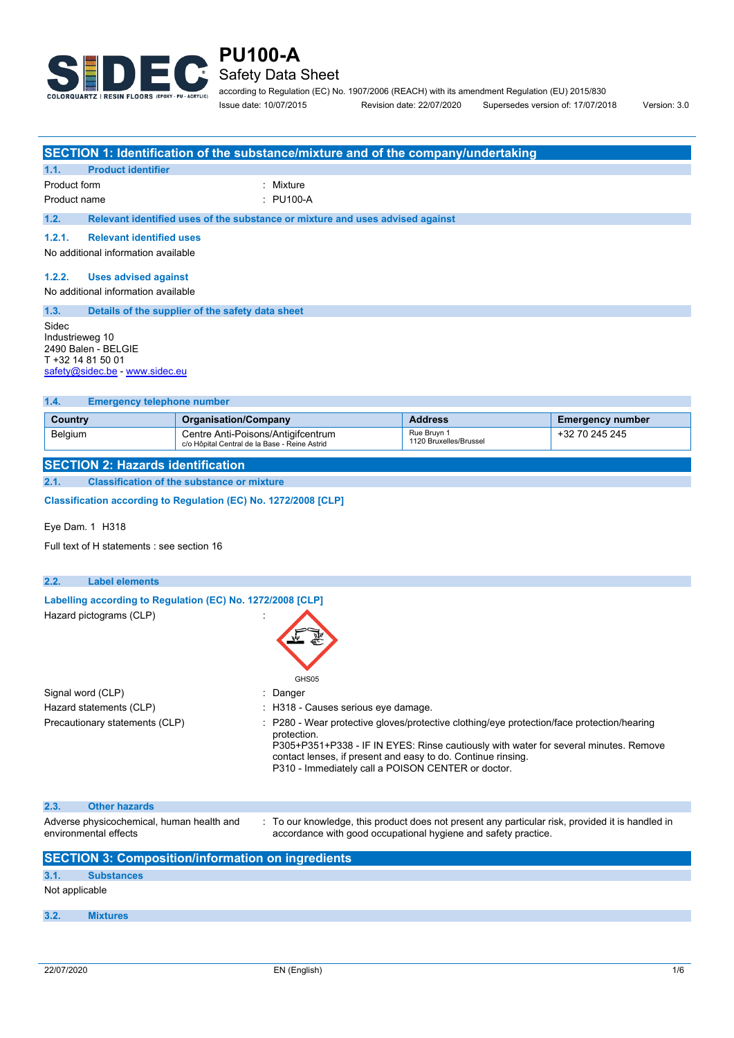

### **PU100-A** Safety Data Sheet

according to Regulation (EC) No. 1907/2006 (REACH) with its amendment Regulation (EU) 2015/830 Issue date: 10/07/2015 Revision date: 22/07/2020 Supersedes version of: 17/07/2018 Version: 3.0

|                                                                                                        | SECTION 1: Identification of the substance/mixture and of the company/undertaking   |                                                                                                                                                                                                                                                  |                         |
|--------------------------------------------------------------------------------------------------------|-------------------------------------------------------------------------------------|--------------------------------------------------------------------------------------------------------------------------------------------------------------------------------------------------------------------------------------------------|-------------------------|
| <b>Product identifier</b><br>1.1.                                                                      |                                                                                     |                                                                                                                                                                                                                                                  |                         |
| Product form                                                                                           | Mixture                                                                             |                                                                                                                                                                                                                                                  |                         |
| Product name                                                                                           | : PU100-A                                                                           |                                                                                                                                                                                                                                                  |                         |
| 1.2.                                                                                                   | Relevant identified uses of the substance or mixture and uses advised against       |                                                                                                                                                                                                                                                  |                         |
| 1.2.1.<br><b>Relevant identified uses</b>                                                              |                                                                                     |                                                                                                                                                                                                                                                  |                         |
| No additional information available                                                                    |                                                                                     |                                                                                                                                                                                                                                                  |                         |
| 1.2.2.<br><b>Uses advised against</b><br>No additional information available                           |                                                                                     |                                                                                                                                                                                                                                                  |                         |
| 1.3.                                                                                                   | Details of the supplier of the safety data sheet                                    |                                                                                                                                                                                                                                                  |                         |
| Sidec<br>Industrieweg 10<br>2490 Balen - BELGIE<br>T +32 14 81 50 01<br>safety@sidec.be - www.sidec.eu |                                                                                     |                                                                                                                                                                                                                                                  |                         |
| 1.4.<br><b>Emergency telephone number</b>                                                              |                                                                                     |                                                                                                                                                                                                                                                  |                         |
| Country                                                                                                | <b>Organisation/Company</b>                                                         | <b>Address</b>                                                                                                                                                                                                                                   | <b>Emergency number</b> |
| Belgium                                                                                                | Centre Anti-Poisons/Antigifcentrum<br>c/o Hôpital Central de la Base - Reine Astrid | Rue Bruyn 1<br>1120 Bruxelles/Brussel                                                                                                                                                                                                            | +32 70 245 245          |
| <b>SECTION 2: Hazards identification</b>                                                               |                                                                                     |                                                                                                                                                                                                                                                  |                         |
| 2.1.                                                                                                   | <b>Classification of the substance or mixture</b>                                   |                                                                                                                                                                                                                                                  |                         |
|                                                                                                        | Classification according to Regulation (EC) No. 1272/2008 [CLP]                     |                                                                                                                                                                                                                                                  |                         |
| Eye Dam. $1$ H318                                                                                      |                                                                                     |                                                                                                                                                                                                                                                  |                         |
| Full text of H statements : see section 16                                                             |                                                                                     |                                                                                                                                                                                                                                                  |                         |
| 2.2.<br><b>Label elements</b>                                                                          |                                                                                     |                                                                                                                                                                                                                                                  |                         |
| Hazard pictograms (CLP)                                                                                | Labelling according to Regulation (EC) No. 1272/2008 [CLP]<br>GHS05                 |                                                                                                                                                                                                                                                  |                         |
| Signal word (CLP)                                                                                      | Danger                                                                              |                                                                                                                                                                                                                                                  |                         |
| Hazard statements (CLP)                                                                                | H318 - Causes serious eye damage.                                                   |                                                                                                                                                                                                                                                  |                         |
| Precautionary statements (CLP)                                                                         | protection.<br>P310 - Immediately call a POISON CENTER or doctor.                   | P280 - Wear protective gloves/protective clothing/eye protection/face protection/hearing<br>P305+P351+P338 - IF IN EYES: Rinse cautiously with water for several minutes. Remove<br>contact lenses, if present and easy to do. Continue rinsing. |                         |
| 2.3.<br><b>Other hazards</b>                                                                           |                                                                                     |                                                                                                                                                                                                                                                  |                         |
| Adverse physicochemical, human health and<br>environmental effects                                     |                                                                                     | To our knowledge, this product does not present any particular risk, provided it is handled in<br>accordance with good occupational hygiene and safety practice.                                                                                 |                         |
|                                                                                                        | <b>SECTION 3: Composition/information on ingredients</b>                            |                                                                                                                                                                                                                                                  |                         |
| 3.1.<br><b>Substances</b>                                                                              |                                                                                     |                                                                                                                                                                                                                                                  |                         |
| Not applicable                                                                                         |                                                                                     |                                                                                                                                                                                                                                                  |                         |
| 3.2.<br><b>Mixtures</b>                                                                                |                                                                                     |                                                                                                                                                                                                                                                  |                         |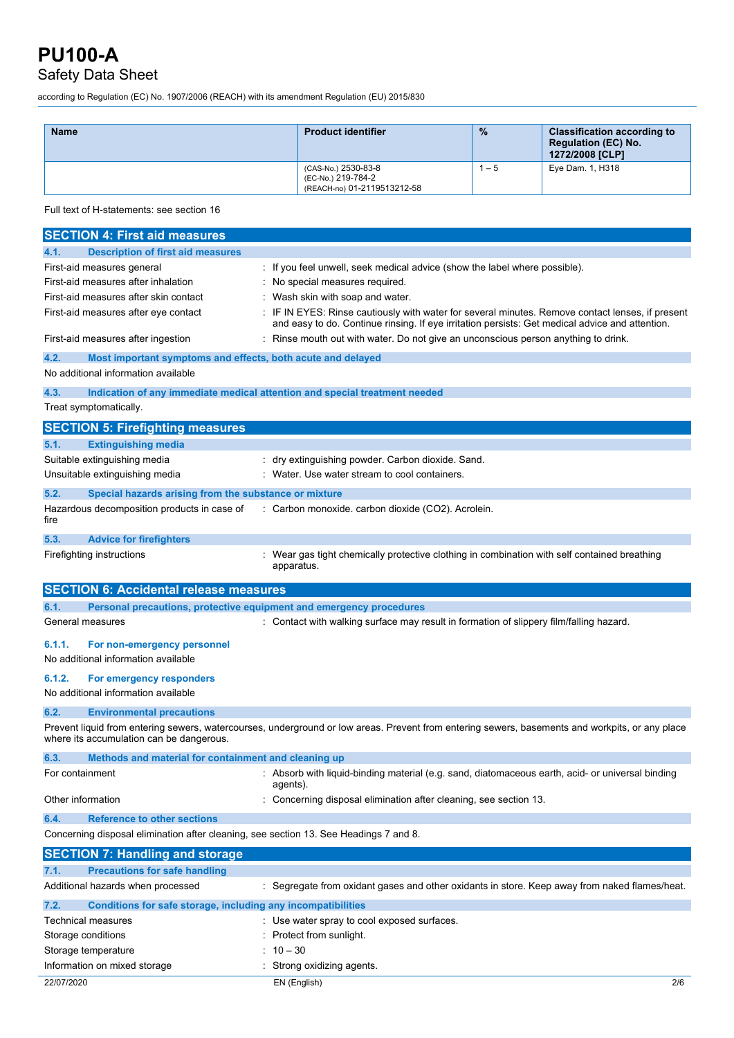### Safety Data Sheet

according to Regulation (EC) No. 1907/2006 (REACH) with its amendment Regulation (EU) 2015/830

| <b>Name</b> | <b>Product identifier</b>                                                | $\%$ | <b>Classification according to</b><br><b>Regulation (EC) No.</b><br>1272/2008 [CLP] |
|-------------|--------------------------------------------------------------------------|------|-------------------------------------------------------------------------------------|
|             | (CAS-No.) 2530-83-8<br>(EC-No.) 219-784-2<br>(REACH-no) 01-2119513212-58 | $-5$ | Eye Dam. 1, H318                                                                    |

Full text of H-statements: see section 16

| <b>SECTION 4: First aid measures</b>                                                  |                                                                                                                                                                                                   |
|---------------------------------------------------------------------------------------|---------------------------------------------------------------------------------------------------------------------------------------------------------------------------------------------------|
| <b>Description of first aid measures</b><br>4.1.                                      |                                                                                                                                                                                                   |
| First-aid measures general                                                            | : If you feel unwell, seek medical advice (show the label where possible).                                                                                                                        |
| First-aid measures after inhalation                                                   | : No special measures required.                                                                                                                                                                   |
| First-aid measures after skin contact                                                 | Wash skin with soap and water.                                                                                                                                                                    |
| First-aid measures after eye contact                                                  | IF IN EYES: Rinse cautiously with water for several minutes. Remove contact lenses, if present<br>and easy to do. Continue rinsing. If eye irritation persists: Get medical advice and attention. |
| First-aid measures after ingestion                                                    | : Rinse mouth out with water. Do not give an unconscious person anything to drink.                                                                                                                |
| 4.2.<br>Most important symptoms and effects, both acute and delayed                   |                                                                                                                                                                                                   |
| No additional information available                                                   |                                                                                                                                                                                                   |
| 4.3.                                                                                  | Indication of any immediate medical attention and special treatment needed                                                                                                                        |
| Treat symptomatically.                                                                |                                                                                                                                                                                                   |
| <b>SECTION 5: Firefighting measures</b>                                               |                                                                                                                                                                                                   |
| 5.1.<br><b>Extinguishing media</b>                                                    |                                                                                                                                                                                                   |
| Suitable extinguishing media                                                          | : dry extinguishing powder. Carbon dioxide. Sand.                                                                                                                                                 |
| Unsuitable extinguishing media                                                        | : Water. Use water stream to cool containers.                                                                                                                                                     |
| 5.2.<br>Special hazards arising from the substance or mixture                         |                                                                                                                                                                                                   |
| Hazardous decomposition products in case of<br>fire                                   | : Carbon monoxide. carbon dioxide (CO2). Acrolein.                                                                                                                                                |
| 5.3.<br><b>Advice for firefighters</b>                                                |                                                                                                                                                                                                   |
| Firefighting instructions                                                             | : Wear gas tight chemically protective clothing in combination with self contained breathing<br>apparatus.                                                                                        |
| <b>SECTION 6: Accidental release measures</b>                                         |                                                                                                                                                                                                   |
|                                                                                       |                                                                                                                                                                                                   |
| 6.1.<br>Personal precautions, protective equipment and emergency procedures           |                                                                                                                                                                                                   |
| General measures                                                                      | : Contact with walking surface may result in formation of slippery film/falling hazard.                                                                                                           |
|                                                                                       |                                                                                                                                                                                                   |
| 6.1.1.<br>For non-emergency personnel                                                 |                                                                                                                                                                                                   |
| No additional information available                                                   |                                                                                                                                                                                                   |
| 6.1.2.<br>For emergency responders                                                    |                                                                                                                                                                                                   |
| No additional information available                                                   |                                                                                                                                                                                                   |
| 6.2.<br><b>Environmental precautions</b>                                              |                                                                                                                                                                                                   |
| where its accumulation can be dangerous.                                              | Prevent liquid from entering sewers, watercourses, underground or low areas. Prevent from entering sewers, basements and workpits, or any place                                                   |
| 6.3.<br>Methods and material for containment and cleaning up                          |                                                                                                                                                                                                   |
| For containment                                                                       | Absorb with liquid-binding material (e.g. sand, diatomaceous earth, acid- or universal binding<br>agents).                                                                                        |
| Other information                                                                     | Concerning disposal elimination after cleaning, see section 13.                                                                                                                                   |
| 6.4.<br><b>Reference to other sections</b>                                            |                                                                                                                                                                                                   |
| Concerning disposal elimination after cleaning, see section 13. See Headings 7 and 8. |                                                                                                                                                                                                   |
| <b>SECTION 7: Handling and storage</b>                                                |                                                                                                                                                                                                   |
| 7.1.<br><b>Precautions for safe handling</b>                                          |                                                                                                                                                                                                   |
| Additional hazards when processed                                                     | : Segregate from oxidant gases and other oxidants in store. Keep away from naked flames/heat.                                                                                                     |
| 7.2.<br>Conditions for safe storage, including any incompatibilities                  |                                                                                                                                                                                                   |
| <b>Technical measures</b>                                                             | Use water spray to cool exposed surfaces.                                                                                                                                                         |
| Storage conditions                                                                    | Protect from sunlight.                                                                                                                                                                            |
| Storage temperature                                                                   | $10 - 30$                                                                                                                                                                                         |
| Information on mixed storage                                                          | Strong oxidizing agents.                                                                                                                                                                          |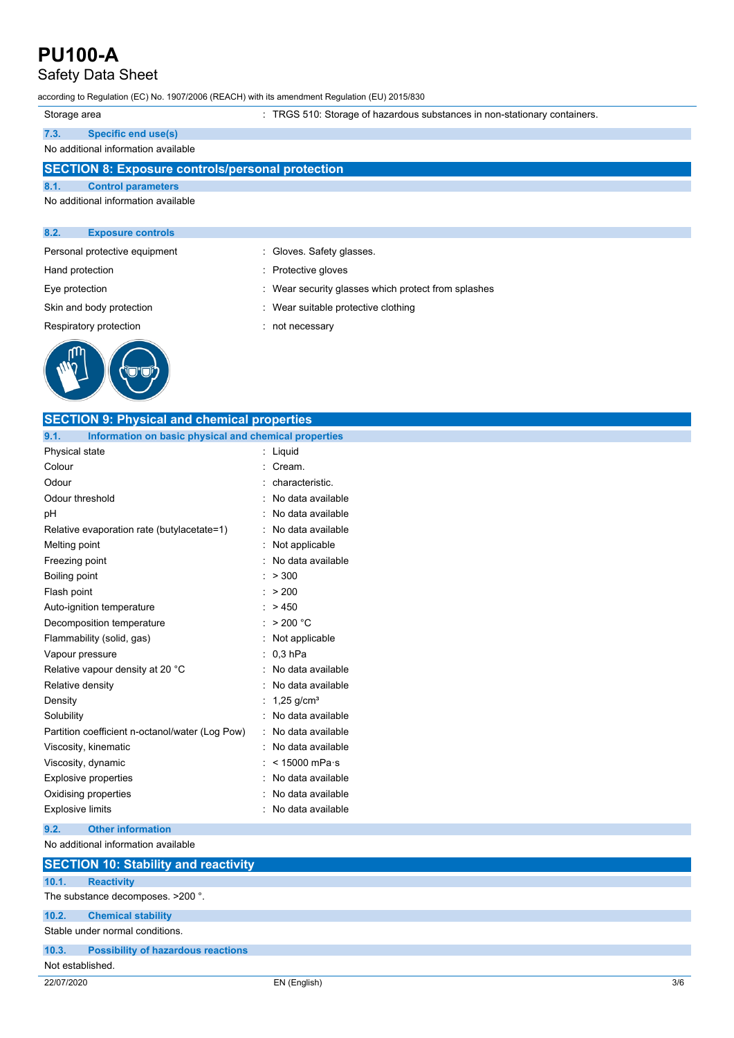### Safety Data Sheet

according to Regulation (EC) No. 1907/2006 (REACH) with its amendment Regulation (EU) 2015/830

|  | Storage area |  |
|--|--------------|--|

age area : TRGS 510: Storage of hazardous substances in non-stationary containers.

| 7.3. | <b>Specific end use(s)</b> |  |
|------|----------------------------|--|
|      |                            |  |

## **SECTION 8: Exposure controls/personal protection 8.1. Control parameters** No additional information available **8.2. Exposure controls**

: Gloves. Safety glasses.

- 
- Hand protection **in the contract of the Contract Serverse** entering in Protective gloves
- Eye protection **in the security glasses** which protect from splashes
- Skin and body protection **in the suitable protective clothing** : Wear suitable protective clothing
- Respiratory protection in the control of the control of the Respiratory protection



| <b>SECTION 9: Physical and chemical properties</b>            |                          |
|---------------------------------------------------------------|--------------------------|
| 9.1.<br>Information on basic physical and chemical properties |                          |
| Physical state                                                | Liquid                   |
| Colour                                                        | Cream.                   |
| Odour                                                         | characteristic.          |
| Odour threshold                                               | No data available        |
| рH                                                            | No data available        |
| Relative evaporation rate (butylacetate=1)                    | No data available        |
| Melting point                                                 | Not applicable           |
| Freezing point                                                | No data available        |
| Boiling point                                                 | > 300                    |
| Flash point                                                   | > 200                    |
| Auto-ignition temperature                                     | >450                     |
| Decomposition temperature                                     | > 200 °C                 |
| Flammability (solid, gas)                                     | Not applicable           |
| Vapour pressure                                               | $0.3$ hPa                |
| Relative vapour density at 20 °C                              | No data available        |
| Relative density                                              | No data available        |
| Density                                                       | $1,25$ g/cm <sup>3</sup> |
| Solubility                                                    | No data available        |
| Partition coefficient n-octanol/water (Log Pow)               | No data available        |
| Viscosity, kinematic                                          | No data available        |
| Viscosity, dynamic                                            | $< 15000$ mPa $\cdot$ s  |
| <b>Explosive properties</b>                                   | No data available        |
| Oxidising properties                                          | No data available        |
| <b>Explosive limits</b>                                       | No data available        |
| 9.2.<br><b>Other information</b>                              |                          |

#### No additional information available

|                  | <b>SECTION 10: Stability and reactivity</b> |
|------------------|---------------------------------------------|
| 10.1.            | <b>Reactivity</b>                           |
|                  | The substance decomposes. >200 °.           |
| 10.2.            | <b>Chemical stability</b>                   |
|                  | Stable under normal conditions.             |
| 10.3.            | <b>Possibility of hazardous reactions</b>   |
| Not established. |                                             |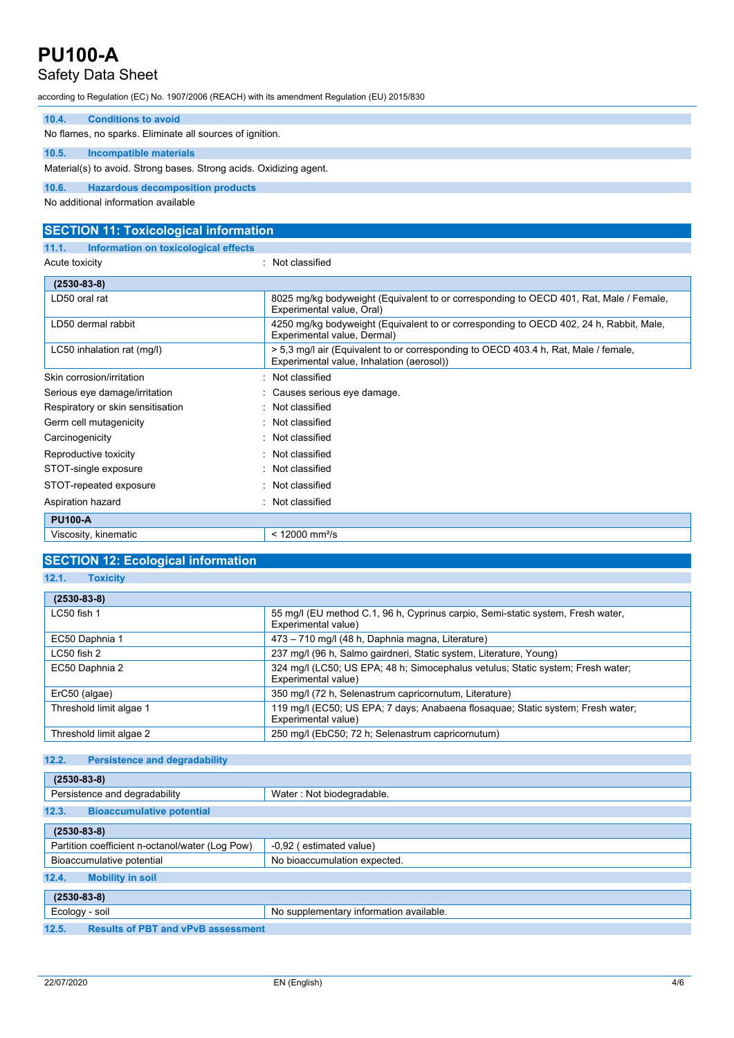## Safety Data Sheet

according to Regulation (EC) No. 1907/2006 (REACH) with its amendment Regulation (EU) 2015/830

| 10.4. | <b>Conditions to avoid</b>                                         |
|-------|--------------------------------------------------------------------|
|       | No flames, no sparks. Eliminate all sources of ignition.           |
| 10.5. | Incompatible materials                                             |
|       | Material(s) to avoid. Strong bases. Strong acids. Oxidizing agent. |
| 10.6. | <b>Hazardous decomposition products</b>                            |

No additional information available

| <b>SECTION 11: Toxicological information</b>  |                                                                                                                                  |
|-----------------------------------------------|----------------------------------------------------------------------------------------------------------------------------------|
| Information on toxicological effects<br>11.1. |                                                                                                                                  |
| Acute toxicity                                | : Not classified                                                                                                                 |
| $(2530 - 83 - 8)$                             |                                                                                                                                  |
| LD50 oral rat                                 | 8025 mg/kg bodyweight (Equivalent to or corresponding to OECD 401, Rat, Male / Female,<br>Experimental value, Oral)              |
| LD50 dermal rabbit                            | 4250 mg/kg bodyweight (Equivalent to or corresponding to OECD 402, 24 h, Rabbit, Male,<br>Experimental value, Dermal)            |
| LC50 inhalation rat (mg/l)                    | > 5,3 mg/l air (Equivalent to or corresponding to OECD 403.4 h, Rat, Male / female,<br>Experimental value, Inhalation (aerosol)) |
| Skin corrosion/irritation                     | Not classified                                                                                                                   |
| Serious eye damage/irritation                 | : Causes serious eye damage.                                                                                                     |
| Respiratory or skin sensitisation             | : Not classified                                                                                                                 |
| Germ cell mutagenicity                        | : Not classified                                                                                                                 |
| Carcinogenicity                               | : Not classified                                                                                                                 |
| Reproductive toxicity                         | : Not classified                                                                                                                 |
| STOT-single exposure                          | : Not classified                                                                                                                 |
| STOT-repeated exposure                        | : Not classified                                                                                                                 |
| Aspiration hazard                             | : Not classified                                                                                                                 |
| <b>PU100-A</b>                                |                                                                                                                                  |
| Viscosity, kinematic                          | $< 12000$ mm <sup>2</sup> /s                                                                                                     |

### **SECTION 12: Ecological information**

|--|

| $(2530 - 83 - 8)$       |                                                                                                        |
|-------------------------|--------------------------------------------------------------------------------------------------------|
| $LC50$ fish 1           | 55 mg/l (EU method C.1, 96 h, Cyprinus carpio, Semi-static system, Fresh water,<br>Experimental value) |
| EC50 Daphnia 1          | 473 - 710 mg/l (48 h, Daphnia magna, Literature)                                                       |
| LC50 fish 2             | 237 mg/l (96 h, Salmo gairdneri, Static system, Literature, Young)                                     |
| EC50 Daphnia 2          | 324 mg/l (LC50; US EPA; 48 h; Simocephalus vetulus; Static system; Fresh water;<br>Experimental value) |
| ErC50 (algae)           | 350 mg/l (72 h, Selenastrum capricornutum, Literature)                                                 |
| Threshold limit algae 1 | 119 mg/l (EC50; US EPA; 7 days; Anabaena flosaguae; Static system; Fresh water;<br>Experimental value) |
| Threshold limit algae 2 | 250 mg/l (EbC50; 72 h; Selenastrum capricornutum)                                                      |

#### **12.2. Persistence and degradability**

| $(2530 - 83 - 8)$                                  |                                         |
|----------------------------------------------------|-----------------------------------------|
| Persistence and degradability                      | Water: Not biodegradable.               |
| 12.3.<br><b>Bioaccumulative potential</b>          |                                         |
| $(2530 - 83 - 8)$                                  |                                         |
| Partition coefficient n-octanol/water (Log Pow)    | -0,92 (estimated value)                 |
| Bioaccumulative potential                          | No bioaccumulation expected.            |
| 12.4.<br><b>Mobility in soil</b>                   |                                         |
| $(2530 - 83 - 8)$                                  |                                         |
| Ecology - soil                                     | No supplementary information available. |
| 12.5.<br><b>Results of PBT and vPvB assessment</b> |                                         |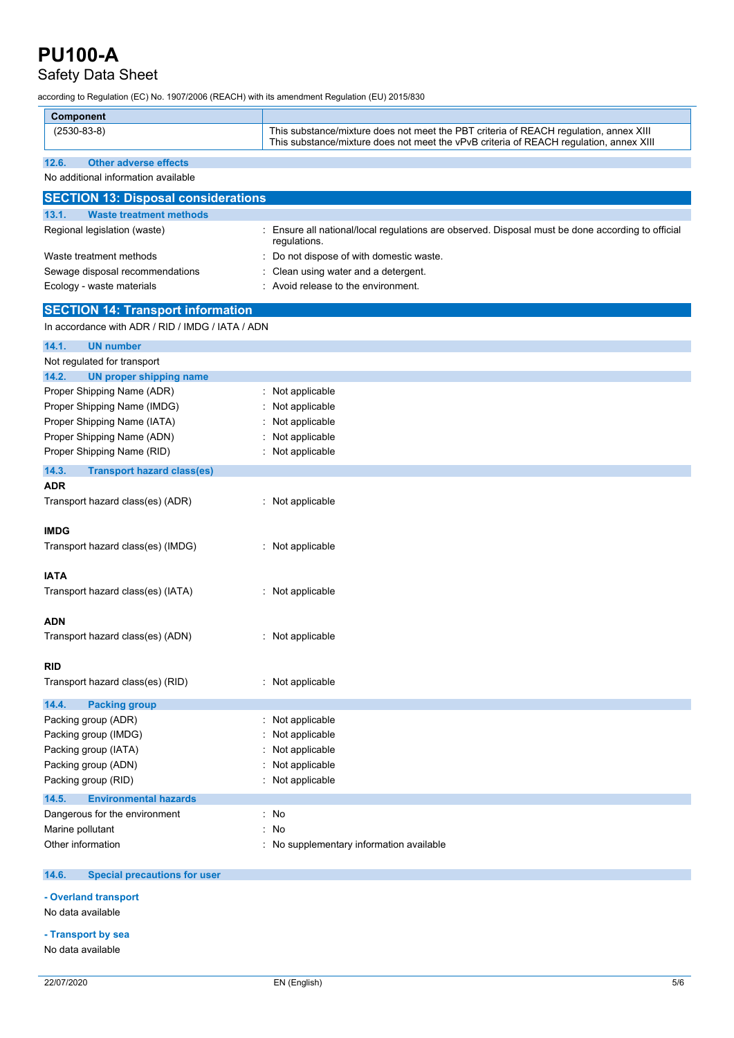## Safety Data Sheet

according to Regulation (EC) No. 1907/2006 (REACH) with its amendment Regulation (EU) 2015/830

| <b>Component</b>                                 |                                                                                                                                                                                 |
|--------------------------------------------------|---------------------------------------------------------------------------------------------------------------------------------------------------------------------------------|
| $(2530-83-8)$                                    | This substance/mixture does not meet the PBT criteria of REACH regulation, annex XIII<br>This substance/mixture does not meet the vPvB criteria of REACH regulation, annex XIII |
| <b>Other adverse effects</b><br>12.6.            |                                                                                                                                                                                 |
| No additional information available              |                                                                                                                                                                                 |
| <b>SECTION 13: Disposal considerations</b>       |                                                                                                                                                                                 |
| 13.1.<br><b>Waste treatment methods</b>          |                                                                                                                                                                                 |
| Regional legislation (waste)                     | Ensure all national/local regulations are observed. Disposal must be done according to official<br>regulations.                                                                 |
| Waste treatment methods                          | Do not dispose of with domestic waste.                                                                                                                                          |
| Sewage disposal recommendations                  | Clean using water and a detergent.                                                                                                                                              |
| Ecology - waste materials                        | Avoid release to the environment.                                                                                                                                               |
| <b>SECTION 14: Transport information</b>         |                                                                                                                                                                                 |
| In accordance with ADR / RID / IMDG / IATA / ADN |                                                                                                                                                                                 |
| 14.1.<br><b>UN number</b>                        |                                                                                                                                                                                 |
| Not regulated for transport                      |                                                                                                                                                                                 |
| <b>UN proper shipping name</b><br>14.2.          |                                                                                                                                                                                 |
| Proper Shipping Name (ADR)                       | Not applicable                                                                                                                                                                  |
| Proper Shipping Name (IMDG)                      | Not applicable                                                                                                                                                                  |
| Proper Shipping Name (IATA)                      | Not applicable                                                                                                                                                                  |
| Proper Shipping Name (ADN)                       | Not applicable                                                                                                                                                                  |
| Proper Shipping Name (RID)                       | Not applicable                                                                                                                                                                  |
| 14.3.<br><b>Transport hazard class(es)</b>       |                                                                                                                                                                                 |
| ADR                                              |                                                                                                                                                                                 |
| Transport hazard class(es) (ADR)                 | : Not applicable                                                                                                                                                                |
| <b>IMDG</b>                                      |                                                                                                                                                                                 |
| Transport hazard class(es) (IMDG)                | : Not applicable                                                                                                                                                                |
| <b>IATA</b>                                      |                                                                                                                                                                                 |
| Transport hazard class(es) (IATA)                | : Not applicable                                                                                                                                                                |
| <b>ADN</b>                                       |                                                                                                                                                                                 |
| Transport hazard class(es) (ADN)                 | Not applicable                                                                                                                                                                  |
|                                                  |                                                                                                                                                                                 |
| RID                                              |                                                                                                                                                                                 |
| Transport hazard class(es) (RID)                 | : Not applicable                                                                                                                                                                |
| 14.4.<br><b>Packing group</b>                    |                                                                                                                                                                                 |
| Packing group (ADR)                              | : Not applicable                                                                                                                                                                |
| Packing group (IMDG)                             | Not applicable                                                                                                                                                                  |
| Packing group (IATA)                             | Not applicable                                                                                                                                                                  |
| Packing group (ADN)                              | Not applicable                                                                                                                                                                  |
| Packing group (RID)                              | Not applicable                                                                                                                                                                  |
| 14.5.<br><b>Environmental hazards</b>            |                                                                                                                                                                                 |
| Dangerous for the environment                    | : No                                                                                                                                                                            |
| Marine pollutant                                 | No                                                                                                                                                                              |
| Other information                                | No supplementary information available                                                                                                                                          |
|                                                  |                                                                                                                                                                                 |

#### **14.6. Special precautions for user**

**- Overland transport**

No data available

**- Transport by sea**

No data available